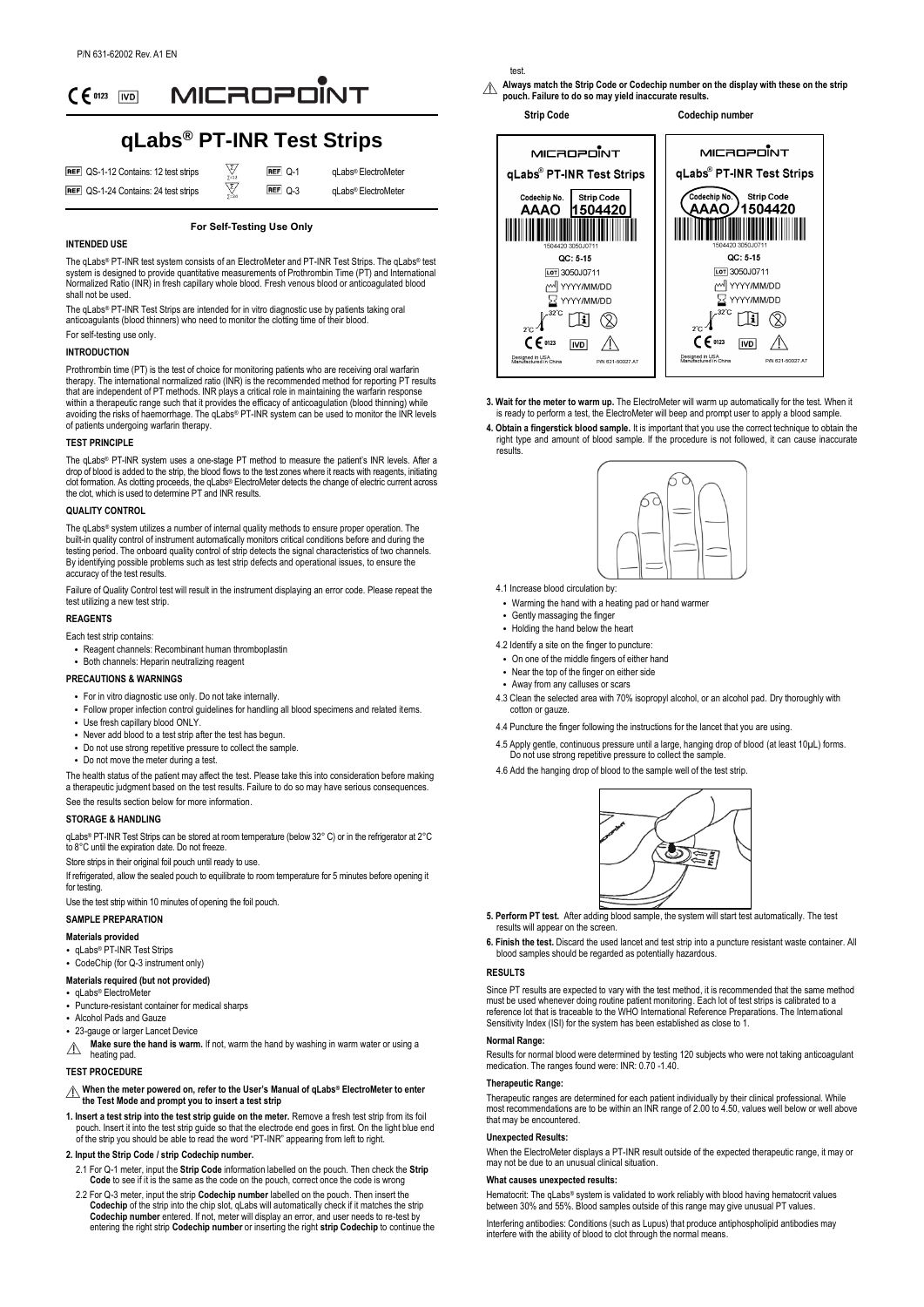

# **qLabs® PT-INR Test Strips**

 $\frac{\sum_{\sum_{i=1}^{n}}}{\sum_{i=1}^{n}}$ 

| REF QS-1-12 Contains: 12 test strips |
|--------------------------------------|
| REF QS-1-24 Contains: 24 test strips |

 $REF$   $Q-1$  $REF$   $\bigcap$  3

qLabs® ElectroMeter qLabs® ElectroMeter

**For Self-Testing Use Only**

#### **INTENDED USE**

The qLabs® PT-INR test system consists of an ElectroMeter and PT-INR Test Strips. The qLabs® test system is designed to provide quantitative measurements of Prothrombin Time (PT) and International Normalized Ratio (INR) in fresh capillary whole blood. Fresh venous blood or anticoagulated blood shall not be used

The qLabs® PT-INR Test Strips are intended for in vitro diagnostic use by patients taking oral anticoagulants (blood thinners) who need to monitor the clotting time of their blood.

For self-testing use only.

# **INTRODUCTION**

Prothrombin time (PT) is the test of choice for monitoring patients who are receiving oral warfarin therapy. The international normalized ratio (INR) is the recommended method for reporting PT results that are independent of PT methods. INR plays a critical role in maintaining the warfarin response within a therapeutic range such that it provides the efficacy of anticoagulation (blood thinning) while avoiding the risks of haemorrhage. The qLabs® PT-INR system can be used to monitor the INR levels of patients undergoing warfarin therapy.

#### **TEST PRINCIPLE**

The qLabs® PT-INR system uses a one-stage PT method to measure the patient's INR levels. After a drop of blood is added to the strip, the blood flows to the test zones where it reacts with reagents, initiating clot formation. As clotting proceeds, the qLabs® ElectroMeter detects the change of electric current across the clot, which is used to determine PT and INR results.

### **QUALITY CONTROL**

The qLabs® system utilizes a number of internal quality methods to ensure proper operation. The built-in quality control of instrument automatically monitors critical conditions before and during the testing period. The onboard quality control of strip detects the signal characteristics of two channels. By identifying possible problems such as test strip defects and operational issues, to ensure the accuracy of the test results.

Failure of Quality Control test will result in the instrument displaying an error code. Please repeat the test utilizing a new test strip.

# **REAGENTS**

Each test strip contains:

- Reagent channels: Recombinant human thromboplastin
- Both channels: Heparin neutralizing reagent

# **PRECAUTIONS & WARNINGS**

- For in vitro diagnostic use only. Do not take internally.
- Follow proper infection control guidelines for handling all blood specimens and related items.
- Use fresh capillary blood ONLY.
- Never add blood to a test strip after the test has begun.
- Do not use strong repetitive pressure to collect the sample.
- Do not move the meter during a test.

The health status of the patient may affect the test. Please take this into consideration before making a therapeutic judgment based on the test results. Failure to do so may have serious consequences. See the results section below for more information.

#### **STORAGE & HANDLING**

qLabs® PT-INR Test Strips can be stored at room temperature (below 32° C) or in the refrigerator at 2° C to 8°C until the expiration date. Do not freeze

Store strips in their original foil pouch until ready to use.

If refrigerated, allow the sealed pouch to equilibrate to room temperature for 5 minutes before opening it for testing.

Use the test strip within 10 minutes of opening the foil pouch.

# **SAMPLE PREPARATION**

#### **Materials provided**

- qLabs® PT-INR Test Strips
- CodeChip (for Q-3 instrument only)

# **Materials required (but not provided)**

- $\cdot$  qLabs® ElectroMet
- Puncture-resistant container for medical sharps • Alcohol Pads and Gauze
- 23-gauge or larger Lancet Device
- **Make sure the hand is warm.** If not, warm the hand by washing in warm water or using a  $\triangle$ heating pad.

#### **TEST PROCEDURE**

# **When the meter powered on, refer to the User's Manual of qLabs® ElectroMeter to enter the Test Mode and prompt you to insert a test strip**

**1. Insert a test strip into the test strip guide on the meter.** Remove a fresh test strip from its foil pouch. Insert it into the test strip guide so that the electrode end goes in first. On the light blue end of the strip you should be able to read the word "PT-INR" appearing from left to right.

#### **2. Input the Strip Code / strip Codechip number.**

- 2.1 For Q-1 meter, input the **Strip Code** information labelled on the pouch. Then check the **Strip Code** to see if it is the same as the code on the pouch, correct once the code is wrong
- 2.2 For Q-3 meter, input the strip **Codechip number** labelled on the pouch. Then insert the **Codechip** of the strip into the chip slot, qLabs will automatically check if it matches the strip **Codechip number** entered. If not, meter will display an error, and user needs to re-test by entering the right strip **Codechip number** or inserting the right **strip Codechip** to continue the

test.

**Always match the Strip Code or Codechip number on the display with these on the strip**  ∧ **pouch. Failure to do so may yield inaccurate results.**

**Strip Code Codechip number**



- **3. Wait for the meter to warm up.** The ElectroMeter will warm up automatically for the test. When it is ready to perform a test, the ElectroMeter will beep and prompt user to apply a blood sample.
- **4. Obtain a fingerstick blood sample.** It is important that you use the correct technique to obtain the right type and amount of blood sample. If the procedure is not followed, it can cause inaccurate results.



- 4.1 Increase blood circulation by:
- Warming the hand with a heating pad or hand warmer
- Gently massaging the finger
- Holding the hand below the heart
- 4.2 Identify a site on the finger to puncture:
- On one of the middle fingers of either hand
- Near the top of the finger on either side
- Away from any calluses or scars
- 4.3 Clean the selected area with 70% isopropyl alcohol, or an alcohol pad. Dry thoroughly with cotton or gauze.
- 4.4 Puncture the finger following the instructions for the lancet that you are using.
- 4.5 Apply gentle, continuous pressure until a large, hanging drop of blood (at least 10µL) forms. Do not use strong repetitive pressure to collect the sample.
- 4.6 Add the hanging drop of blood to the sample well of the test strip.



- **5. Perform PT test.** After adding blood sample, the system will start test automatically. The test results will appear on the screen.
- **6. Finish the test.** Discard the used lancet and test strip into a puncture resistant waste container. All blood samples should be regarded as potentially hazardous.

#### **RESULTS**

Since PT results are expected to vary with the test method, it is recommended that the same method must be used whenever doing routine patient monitoring. Each lot of test strips is calibrated to a reference lot that is traceable to the WHO International Reference Preparations. The International Sensitivity Index (ISI) for the system has been established as close to 1.

# **Normal Range:**

Results for normal blood were determined by testing 120 subjects who were not taking anticoagulant medication. The ranges found were: INR: 0.70 -1.40.

#### **Therapeutic Range:**

Therapeutic ranges are determined for each patient individually by their clinical professional. While most recommendations are to be within an INR range of 2.00 to 4.50, values well below or well above that may be encountered.

# **Unexpected Results:**

When the ElectroMeter displays a PT-INR result outside of the expected therapeutic range, it may or may not be due to an unusual clinical situation.

#### **What causes unexpected results:**

Hematocrit: The qLabs® system is validated to work reliably with blood having hematocrit values between 30% and 55%. Blood samples outside of this range may give unusual PT values.

Interfering antibodies: Conditions (such as Lupus) that produce antiphospholipid antibodies may interfere with the ability of blood to clot through the normal means.